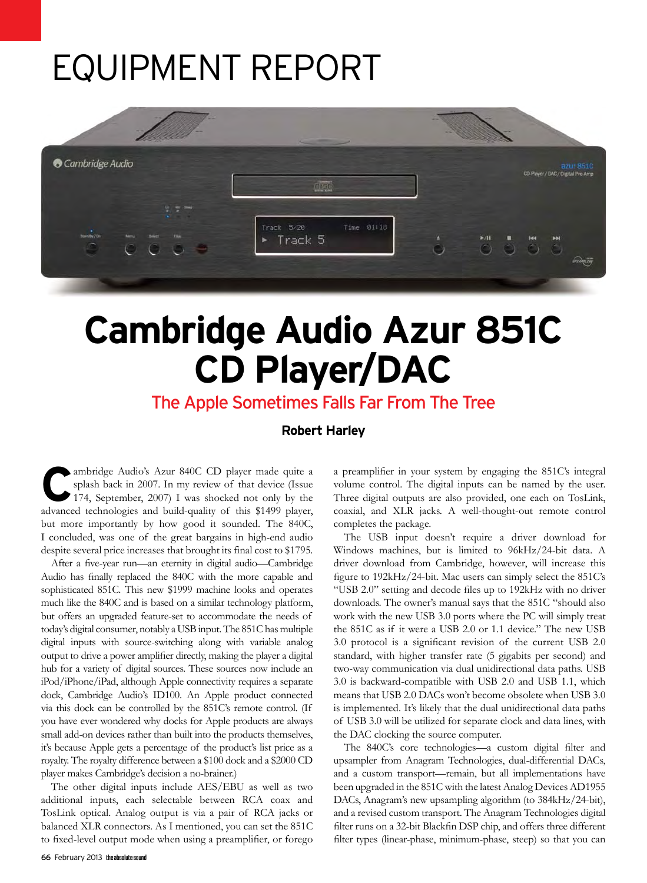# Equipment Report



# **Cambridge Audio Azur 851C CD Player/DAC**

## The Apple Sometimes Falls Far From The Tree

**Robert Harley**

ambridge Audio's Azur 840C CD player made quite a splash back in 2007. In my review of that device (Issue 174, September, 2007) I was shocked not only by the advanced technologies and build-quality of this \$1499 player, but more importantly by how good it sounded. The 840C, I concluded, was one of the great bargains in high-end audio despite several price increases that brought its final cost to \$1795.

After a five-year run—an eternity in digital audio—Cambridge Audio has finally replaced the 840C with the more capable and sophisticated 851C. This new \$1999 machine looks and operates much like the 840C and is based on a similar technology platform, but offers an upgraded feature-set to accommodate the needs of today's digital consumer, notably a USB input. The 851C has multiple digital inputs with source-switching along with variable analog output to drive a power amplifier directly, making the player a digital hub for a variety of digital sources. These sources now include an iPod/iPhone/iPad, although Apple connectivity requires a separate dock, Cambridge Audio's ID100. An Apple product connected via this dock can be controlled by the 851C's remote control. (If you have ever wondered why docks for Apple products are always small add-on devices rather than built into the products themselves, it's because Apple gets a percentage of the product's list price as a royalty. The royalty difference between a \$100 dock and a \$2000 CD player makes Cambridge's decision a no-brainer.)

The other digital inputs include AES/EBU as well as two additional inputs, each selectable between RCA coax and TosLink optical. Analog output is via a pair of RCA jacks or balanced XLR connectors. As I mentioned, you can set the 851C to fixed-level output mode when using a preamplifier, or forego a preamplifier in your system by engaging the 851C's integral volume control. The digital inputs can be named by the user. Three digital outputs are also provided, one each on TosLink, coaxial, and XLR jacks. A well-thought-out remote control completes the package.

The USB input doesn't require a driver download for Windows machines, but is limited to 96kHz/24-bit data. A driver download from Cambridge, however, will increase this figure to 192kHz/24-bit. Mac users can simply select the 851C's "USB 2.0" setting and decode files up to 192kHz with no driver downloads. The owner's manual says that the 851C "should also work with the new USB 3.0 ports where the PC will simply treat the 851C as if it were a USB 2.0 or 1.1 device." The new USB 3.0 protocol is a significant revision of the current USB 2.0 standard, with higher transfer rate (5 gigabits per second) and two-way communication via dual unidirectional data paths. USB 3.0 is backward-compatible with USB 2.0 and USB 1.1, which means that USB 2.0 DACs won't become obsolete when USB 3.0 is implemented. It's likely that the dual unidirectional data paths of USB 3.0 will be utilized for separate clock and data lines, with the DAC clocking the source computer.

The 840C's core technologies—a custom digital filter and upsampler from Anagram Technologies, dual-differential DACs, and a custom transport—remain, but all implementations have been upgraded in the 851C with the latest Analog Devices AD1955 DACs, Anagram's new upsampling algorithm (to 384kHz/24-bit), and a revised custom transport. The Anagram Technologies digital filter runs on a 32-bit Blackfin DSP chip, and offers three different filter types (linear-phase, minimum-phase, steep) so that you can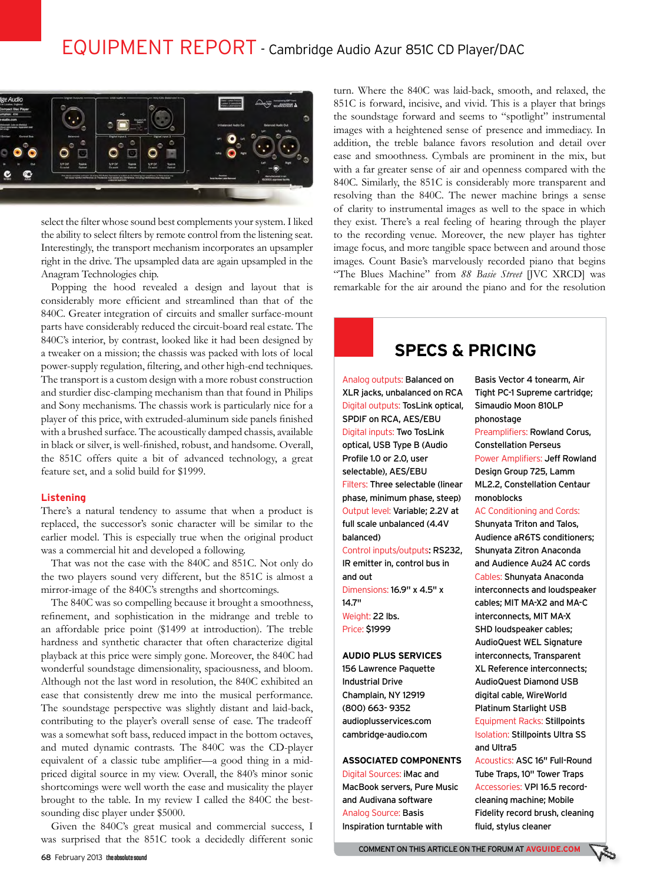

select the filter whose sound best complements your system. I liked the ability to select filters by remote control from the listening seat. Interestingly, the transport mechanism incorporates an upsampler right in the drive. The upsampled data are again upsampled in the Anagram Technologies chip.

Popping the hood revealed a design and layout that is considerably more efficient and streamlined than that of the 840C. Greater integration of circuits and smaller surface-mount parts have considerably reduced the circuit-board real estate. The 840C's interior, by contrast, looked like it had been designed by a tweaker on a mission; the chassis was packed with lots of local power-supply regulation, filtering, and other high-end techniques. The transport is a custom design with a more robust construction and sturdier disc-clamping mechanism than that found in Philips and Sony mechanisms. The chassis work is particularly nice for a player of this price, with extruded-aluminum side panels finished with a brushed surface. The acoustically damped chassis, available in black or silver, is well-finished, robust, and handsome. Overall, the 851C offers quite a bit of advanced technology, a great feature set, and a solid build for \$1999.

### **Listening**

There's a natural tendency to assume that when a product is replaced, the successor's sonic character will be similar to the earlier model. This is especially true when the original product was a commercial hit and developed a following.

That was not the case with the 840C and 851C. Not only do the two players sound very different, but the 851C is almost a mirror-image of the 840C's strengths and shortcomings.

The 840C was so compelling because it brought a smoothness, refinement, and sophistication in the midrange and treble to an affordable price point (\$1499 at introduction). The treble hardness and synthetic character that often characterize digital playback at this price were simply gone. Moreover, the 840C had wonderful soundstage dimensionality, spaciousness, and bloom. Although not the last word in resolution, the 840C exhibited an ease that consistently drew me into the musical performance. The soundstage perspective was slightly distant and laid-back, contributing to the player's overall sense of ease. The tradeoff was a somewhat soft bass, reduced impact in the bottom octaves, and muted dynamic contrasts. The 840C was the CD-player equivalent of a classic tube amplifier—a good thing in a midpriced digital source in my view. Overall, the 840's minor sonic shortcomings were well worth the ease and musicality the player brought to the table. In my review I called the 840C the bestsounding disc player under \$5000.

Given the 840C's great musical and commercial success, I was surprised that the 851C took a decidedly different sonic turn. Where the 840C was laid-back, smooth, and relaxed, the 851C is forward, incisive, and vivid. This is a player that brings the soundstage forward and seems to "spotlight" instrumental images with a heightened sense of presence and immediacy. In addition, the treble balance favors resolution and detail over ease and smoothness. Cymbals are prominent in the mix, but with a far greater sense of air and openness compared with the 840C. Similarly, the 851C is considerably more transparent and resolving than the 840C. The newer machine brings a sense of clarity to instrumental images as well to the space in which they exist. There's a real feeling of hearing through the player to the recording venue. Moreover, the new player has tighter image focus, and more tangible space between and around those images. Count Basie's marvelously recorded piano that begins "The Blues Machine" from *88 Basie Street* [JVC XRCD] was remarkable for the air around the piano and for the resolution

## **SPECS & PRICING**

Analog outputs: Balanced on XLR jacks, unbalanced on RCA Digital outputs: TosLink optical, SPDIF on RCA, AES/EBU Digital inputs: Two TosLink optical, USB Type B (Audio Profile 1.0 or 2.0, user selectable), AES/EBU Filters: Three selectable (linear phase, minimum phase, steep) Output level: Variable; 2.2V at full scale unbalanced (4.4V balanced) Control inputs/outputs: RS232, IR emitter in, control bus in

and out Dimensions: 16.9" x 4.5" x 14.7" Weight: 22 lbs. Price: \$1999

#### **Audio Plus Services**

156 Lawrence Paquette Industrial Drive Champlain, NY 12919 (800) 663- 9352 audioplusservices.com cambridge-audio.com

## **Associated Components**

Digital Sources: iMac and MacBook servers, Pure Music and Audivana software Analog Source: Basis Inspiration turntable with

Basis Vector 4 tonearm, Air Tight PC-1 Supreme cartridge; Simaudio Moon 810LP phonostage Preamplifiers: Rowland Corus, Constellation Perseus Power Amplifiers: Jeff Rowland Design Group 725, Lamm ML2.2, Constellation Centaur monoblocks AC Conditioning and Cords: Shunyata Triton and Talos,

Audience aR6TS conditioners; Shunyata Zitron Anaconda and Audience Au24 AC cords Cables: Shunyata Anaconda interconnects and loudspeaker cables; MIT MA-X2 and MA-C interconnects, MIT MA-X SHD loudspeaker cables; AudioQuest WEL Signature interconnects, Transparent XL Reference interconnects; AudioQuest Diamond USB digital cable, WireWorld Platinum Starlight USB

Equipment Racks: Stillpoints Isolation: Stillpoints Ultra SS and Ultra5

Acoustics: ASC 16" Full-Round Tube Traps, 10" Tower Traps Accessories: VPI 16.5 recordcleaning machine; Mobile Fidelity record brush, cleaning fluid, stylus cleaner